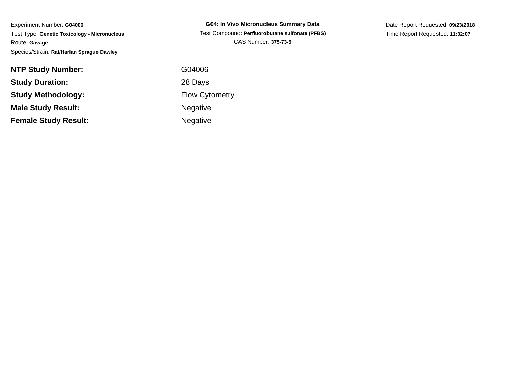Experiment Number: **G04006** Test Type: **Genetic Toxicology - Micronucleus**Route: **Gavage**Species/Strain: **Rat/Harlan Sprague Dawley**

**NTP Study Number:Study Duration:Study Methodology:Male Study Result:Female Study Result:**Negative

**G04: In Vivo Micronucleus Summary Data** Test Compound: **Perfluorobutane sulfonate (PFBS)**CAS Number: **375-73-5**

Date Report Requested: **09/23/2018**Time Report Requested: **11:32:07**

 G04006 28 Days Flow CytometryNegative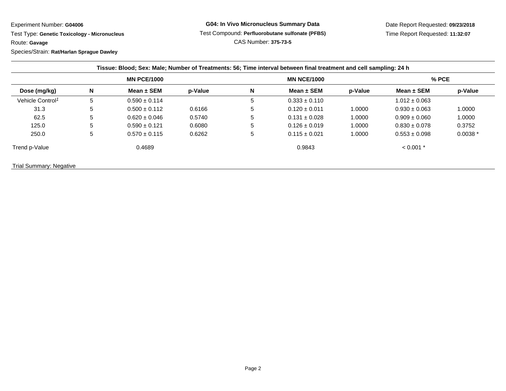Experiment Number: **G04006**

 Test Type: **Genetic Toxicology - Micronucleus**Route: **Gavage**

Species/Strain: **Rat/Harlan Sprague Dawley**

| Dose (mg/kg)                 | <b>MN PCE/1000</b> |                   |         | <b>MN NCE/1000</b> |                   |         | $%$ PCE           |           |
|------------------------------|--------------------|-------------------|---------|--------------------|-------------------|---------|-------------------|-----------|
|                              | N                  | Mean $\pm$ SEM    | p-Value | N                  | Mean $\pm$ SEM    | p-Value | Mean $\pm$ SEM    | p-Value   |
| Vehicle Control <sup>1</sup> | 5                  | $0.590 \pm 0.114$ |         | 5                  | $0.333 \pm 0.110$ |         | $1.012 \pm 0.063$ |           |
| 31.3                         | 5                  | $0.500 \pm 0.112$ | 0.6166  | 5                  | $0.120 \pm 0.011$ | 1.0000  | $0.930 \pm 0.063$ | 1.0000    |
| 62.5                         | 5                  | $0.620 \pm 0.046$ | 0.5740  | 5                  | $0.131 \pm 0.028$ | 1.0000  | $0.909 \pm 0.060$ | 1.0000    |
| 125.0                        | 5                  | $0.590 \pm 0.121$ | 0.6080  | 5                  | $0.126 \pm 0.019$ | 1.0000  | $0.830 \pm 0.078$ | 0.3752    |
| 250.0                        | 5                  | $0.570 \pm 0.115$ | 0.6262  | 5                  | $0.115 \pm 0.021$ | 1.0000  | $0.553 \pm 0.098$ | $0.0038*$ |
| Trend p-Value                |                    | 0.4689            |         |                    | 0.9843            |         | $< 0.001$ *       |           |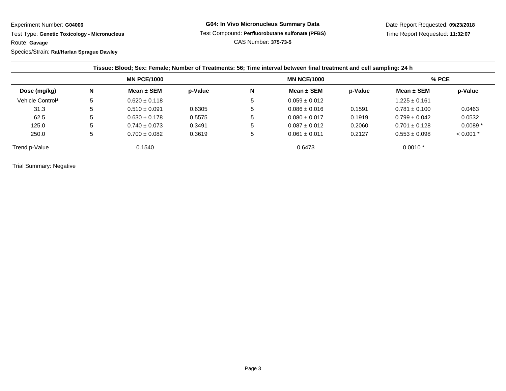Experiment Number: **G04006**

 Test Type: **Genetic Toxicology - Micronucleus**Route: **Gavage**

Species/Strain: **Rat/Harlan Sprague Dawley**

| Dose (mg/kg)                 | <b>MN PCE/1000</b> |                   |         | <b>MN NCE/1000</b> |                   |         | $%$ PCE           |             |
|------------------------------|--------------------|-------------------|---------|--------------------|-------------------|---------|-------------------|-------------|
|                              | N                  | Mean $\pm$ SEM    | p-Value | N                  | Mean $\pm$ SEM    | p-Value | Mean $\pm$ SEM    | p-Value     |
| Vehicle Control <sup>1</sup> | 5                  | $0.620 \pm 0.118$ |         | 5                  | $0.059 \pm 0.012$ |         | $1.225 \pm 0.161$ |             |
| 31.3                         | 5                  | $0.510 \pm 0.091$ | 0.6305  | 5                  | $0.086 \pm 0.016$ | 0.1591  | $0.781 \pm 0.100$ | 0.0463      |
| 62.5                         | 5                  | $0.630 \pm 0.178$ | 0.5575  | 5                  | $0.080 \pm 0.017$ | 0.1919  | $0.799 \pm 0.042$ | 0.0532      |
| 125.0                        | 5                  | $0.740 \pm 0.073$ | 0.3491  | 5                  | $0.087 \pm 0.012$ | 0.2060  | $0.701 \pm 0.128$ | $0.0089*$   |
| 250.0                        | 5                  | $0.700 \pm 0.082$ | 0.3619  | 5                  | $0.061 \pm 0.011$ | 0.2127  | $0.553 \pm 0.098$ | $< 0.001$ * |
| Trend p-Value                |                    | 0.1540            |         |                    | 0.6473            |         | $0.0010*$         |             |